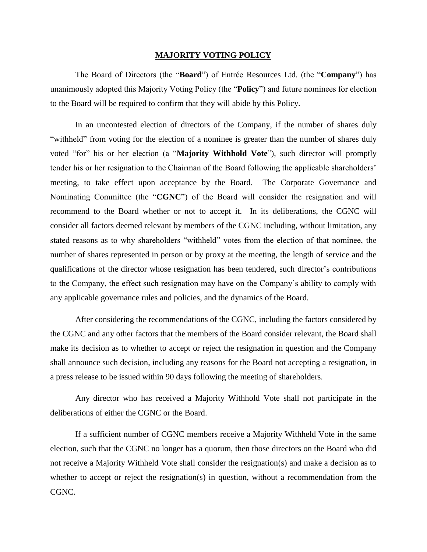## **MAJORITY VOTING POLICY**

The Board of Directors (the "**Board**") of Entrée Resources Ltd. (the "**Company**") has unanimously adopted this Majority Voting Policy (the "**Policy**") and future nominees for election to the Board will be required to confirm that they will abide by this Policy.

In an uncontested election of directors of the Company, if the number of shares duly "withheld" from voting for the election of a nominee is greater than the number of shares duly voted "for" his or her election (a "**Majority Withhold Vote**"), such director will promptly tender his or her resignation to the Chairman of the Board following the applicable shareholders' meeting, to take effect upon acceptance by the Board. The Corporate Governance and Nominating Committee (the "**CGNC**") of the Board will consider the resignation and will recommend to the Board whether or not to accept it. In its deliberations, the CGNC will consider all factors deemed relevant by members of the CGNC including, without limitation, any stated reasons as to why shareholders "withheld" votes from the election of that nominee, the number of shares represented in person or by proxy at the meeting, the length of service and the qualifications of the director whose resignation has been tendered, such director's contributions to the Company, the effect such resignation may have on the Company's ability to comply with any applicable governance rules and policies, and the dynamics of the Board.

After considering the recommendations of the CGNC, including the factors considered by the CGNC and any other factors that the members of the Board consider relevant, the Board shall make its decision as to whether to accept or reject the resignation in question and the Company shall announce such decision, including any reasons for the Board not accepting a resignation, in a press release to be issued within 90 days following the meeting of shareholders.

Any director who has received a Majority Withhold Vote shall not participate in the deliberations of either the CGNC or the Board.

If a sufficient number of CGNC members receive a Majority Withheld Vote in the same election, such that the CGNC no longer has a quorum, then those directors on the Board who did not receive a Majority Withheld Vote shall consider the resignation(s) and make a decision as to whether to accept or reject the resignation(s) in question, without a recommendation from the CGNC.